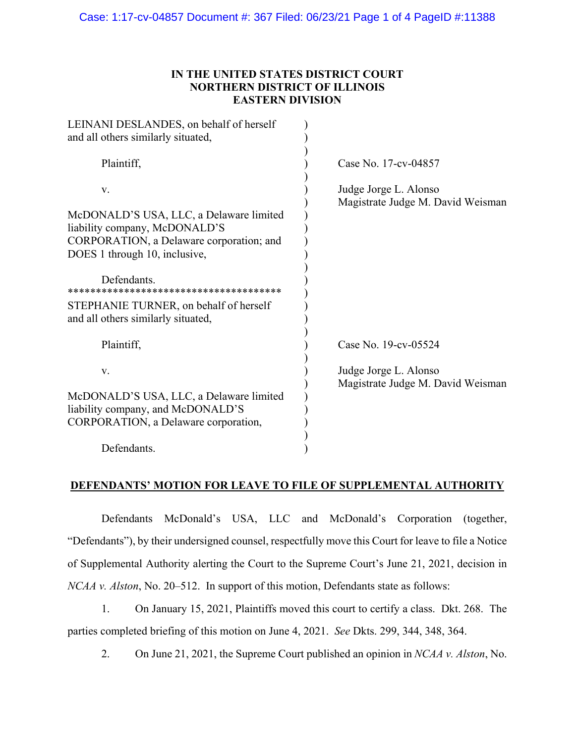### **IN THE UNITED STATES DISTRICT COURT NORTHERN DISTRICT OF ILLINOIS EASTERN DIVISION**

| LEINANI DESLANDES, on behalf of herself<br>and all others similarly situated,                                                                               |                                                            |
|-------------------------------------------------------------------------------------------------------------------------------------------------------------|------------------------------------------------------------|
| Plaintiff,                                                                                                                                                  | Case No. 17-cv-04857                                       |
| V.<br>McDONALD'S USA, LLC, a Delaware limited<br>liability company, McDONALD'S<br>CORPORATION, a Delaware corporation; and<br>DOES 1 through 10, inclusive, | Judge Jorge L. Alonso<br>Magistrate Judge M. David Weisman |
| Defendants.                                                                                                                                                 |                                                            |
| STEPHANIE TURNER, on behalf of herself<br>and all others similarly situated,                                                                                |                                                            |
| Plaintiff,                                                                                                                                                  | Case No. 19-cv-05524                                       |
| V.                                                                                                                                                          | Judge Jorge L. Alonso<br>Magistrate Judge M. David Weisman |
| McDONALD'S USA, LLC, a Delaware limited<br>liability company, and McDONALD'S<br>CORPORATION, a Delaware corporation,                                        |                                                            |
| Defendants.                                                                                                                                                 |                                                            |

#### **DEFENDANTS' MOTION FOR LEAVE TO FILE OF SUPPLEMENTAL AUTHORITY**

 Defendants McDonald's USA, LLC and McDonald's Corporation (together, "Defendants"), by their undersigned counsel, respectfully move this Court for leave to file a Notice of Supplemental Authority alerting the Court to the Supreme Court's June 21, 2021, decision in *NCAA v. Alston*, No. 20–512. In support of this motion, Defendants state as follows:

1. On January 15, 2021, Plaintiffs moved this court to certify a class. Dkt. 268. The parties completed briefing of this motion on June 4, 2021. *See* Dkts. 299, 344, 348, 364.

2. On June 21, 2021, the Supreme Court published an opinion in *NCAA v. Alston*, No.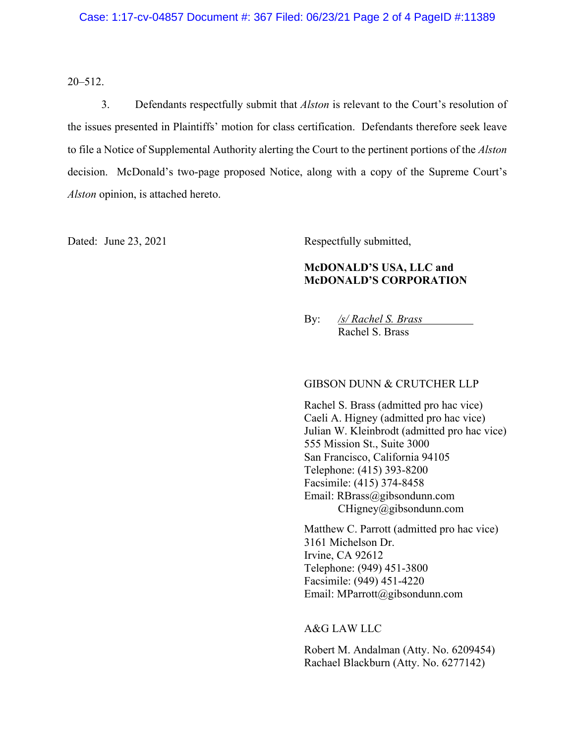20–512.

3. Defendants respectfully submit that *Alston* is relevant to the Court's resolution of the issues presented in Plaintiffs' motion for class certification. Defendants therefore seek leave to file a Notice of Supplemental Authority alerting the Court to the pertinent portions of the *Alston* decision. McDonald's two-page proposed Notice, along with a copy of the Supreme Court's *Alston* opinion, is attached hereto.

Dated: June 23, 2021 Respectfully submitted,

## **McDONALD'S USA, LLC and McDONALD'S CORPORATION**

By: */s/ Rachel S. Brass* Rachel S. Brass

#### GIBSON DUNN & CRUTCHER LLP

Rachel S. Brass (admitted pro hac vice) Caeli A. Higney (admitted pro hac vice) Julian W. Kleinbrodt (admitted pro hac vice) 555 Mission St., Suite 3000 San Francisco, California 94105 Telephone: (415) 393-8200 Facsimile: (415) 374-8458 Email: RBrass@gibsondunn.com CHigney@gibsondunn.com

Matthew C. Parrott (admitted pro hac vice) 3161 Michelson Dr. Irvine, CA 92612 Telephone: (949) 451-3800 Facsimile: (949) 451-4220 Email: MParrott@gibsondunn.com

A&G LAW LLC

Robert M. Andalman (Atty. No. 6209454) Rachael Blackburn (Atty. No. 6277142)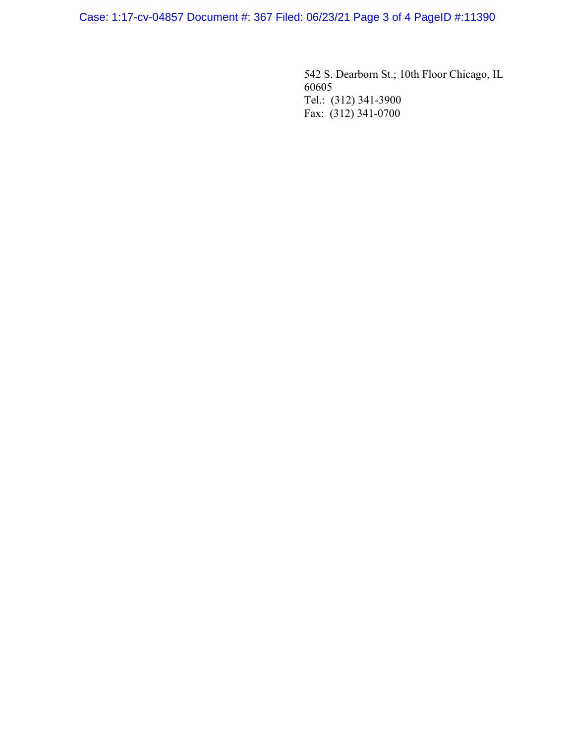Case: 1:17-cv-04857 Document #: 367 Filed: 06/23/21 Page 3 of 4 PageID #:11390

542 S. Dearborn St.; 10th Floor Chicago, IL 60605 Tel.: (312) 341-3900 Fax: (312) 341-0700